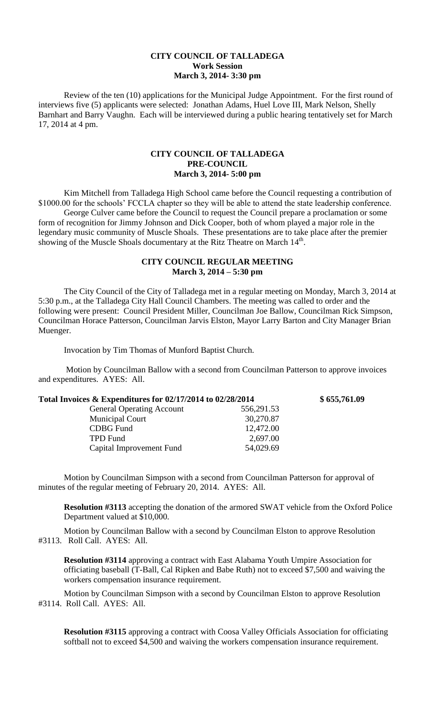## **CITY COUNCIL OF TALLADEGA Work Session March 3, 2014- 3:30 pm**

Review of the ten (10) applications for the Municipal Judge Appointment. For the first round of interviews five (5) applicants were selected: Jonathan Adams, Huel Love III, Mark Nelson, Shelly Barnhart and Barry Vaughn. Each will be interviewed during a public hearing tentatively set for March 17, 2014 at 4 pm.

## **CITY COUNCIL OF TALLADEGA PRE-COUNCIL March 3, 2014- 5:00 pm**

Kim Mitchell from Talladega High School came before the Council requesting a contribution of \$1000.00 for the schools' FCCLA chapter so they will be able to attend the state leadership conference. George Culver came before the Council to request the Council prepare a proclamation or some form of recognition for Jimmy Johnson and Dick Cooper, both of whom played a major role in the legendary music community of Muscle Shoals. These presentations are to take place after the premier showing of the Muscle Shoals documentary at the Ritz Theatre on March 14<sup>th</sup>.

## **CITY COUNCIL REGULAR MEETING March 3, 2014 – 5:30 pm**

The City Council of the City of Talladega met in a regular meeting on Monday, March 3, 2014 at 5:30 p.m., at the Talladega City Hall Council Chambers. The meeting was called to order and the following were present: Council President Miller, Councilman Joe Ballow, Councilman Rick Simpson, Councilman Horace Patterson, Councilman Jarvis Elston, Mayor Larry Barton and City Manager Brian Muenger.

Invocation by Tim Thomas of Munford Baptist Church.

Motion by Councilman Ballow with a second from Councilman Patterson to approve invoices and expenditures. AYES: All.

| Total Invoices & Expenditures for 02/17/2014 to 02/28/2014 |            | \$655,761.09 |
|------------------------------------------------------------|------------|--------------|
| <b>General Operating Account</b>                           | 556,291.53 |              |
| <b>Municipal Court</b>                                     | 30,270.87  |              |
| <b>CDBG</b> Fund                                           | 12,472.00  |              |
| <b>TPD</b> Fund                                            | 2,697.00   |              |
| Capital Improvement Fund                                   | 54,029.69  |              |

Motion by Councilman Simpson with a second from Councilman Patterson for approval of minutes of the regular meeting of February 20, 2014. AYES: All.

**Resolution #3113** accepting the donation of the armored SWAT vehicle from the Oxford Police Department valued at \$10,000.

Motion by Councilman Ballow with a second by Councilman Elston to approve Resolution #3113. Roll Call. AYES: All.

**Resolution #3114** approving a contract with East Alabama Youth Umpire Association for officiating baseball (T-Ball, Cal Ripken and Babe Ruth) not to exceed \$7,500 and waiving the workers compensation insurance requirement.

Motion by Councilman Simpson with a second by Councilman Elston to approve Resolution #3114. Roll Call. AYES: All.

**Resolution #3115** approving a contract with Coosa Valley Officials Association for officiating softball not to exceed \$4,500 and waiving the workers compensation insurance requirement.